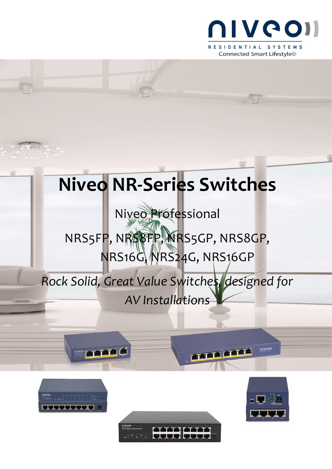

# **Niveo NR-Series Switches**

## Niveo Professional NRS5FP, NRS8FP, NRS5GP, NRS8GP,

## NRS16G, NRS24G, NRS16GP

### *Rock Solid, Great Value Switches, designed for AV Installations*



**OLYCON FACT THE LAST CARD** 





niveo

**TABLES**